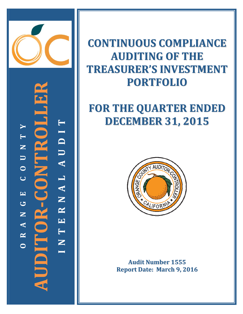

**AUDITOR‐CONTROLLER N T E R N A L A U D I T**  $\blacktriangleright$  **R A N G E C O U N T Y** INTERNAL AUDI  $\blacksquare$ PC LL Z  $\begin{array}{c}\n\hline\n\end{array}$  $\bullet$  $\mathbf{O}$   $\mathbf{R}$  -  $\mathbf{C}$   $\mathbf{O}$   $\mathbf{N}$  $\overline{C}$  $\blacksquare$  $\bigcup$ Z  $\blacktriangle$  $\mathbf{\underline{\underline{\alpha}}}$ **O**

## **CONTINUOUS COMPLIANCE AUDITING OF THE** TREASURER'S INVESTMENT **PORTFOLIO**

# **FOR THE QUARTER ENDED DECEMBER 31, 2015**



Audit Number 1555 **Report Date: March 9, 2016**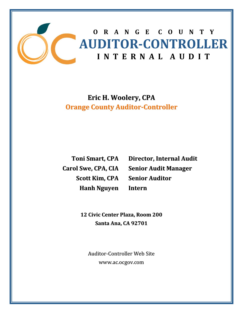

**Eric H. Woolery, CPA Orange County Auditor‐Controller**

**Toni Smart, CPA Carol Swe, CPA, CIA Scott Kim, CPA Hanh Nguyen**

**Director, Internal Audit Senior Audit Manager Senior Auditor Intern**

**12 Civic Center Plaza, Room 200 Santa Ana, CA 92701**

Auditor‐Controller Web Site www.ac.ocgov.com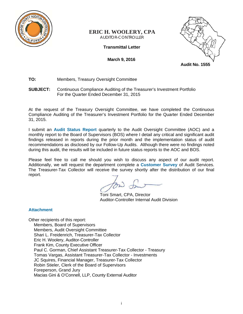

## **ERIC H. WOOLERY, CPA** AUDITOR-CONTROLLER

**Transmittal Letter** 

**March 9, 2016** 



**TO:** Members, Treasury Oversight Committee

## **SUBJECT:** Continuous Compliance Auditing of the Treasurer's Investment Portfolio For the Quarter Ended December 31, 2015

At the request of the Treasury Oversight Committee, we have completed the Continuous Compliance Auditing of the Treasurer's Investment Portfolio for the Quarter Ended December 31, 2015.

I submit an **Audit Status Report** quarterly to the Audit Oversight Committee (AOC) and a monthly report to the Board of Supervisors (BOS) where I detail any critical and significant audit findings released in reports during the prior month and the implementation status of audit recommendations as disclosed by our Follow-Up Audits. Although there were no findings noted during this audit, the results will be included in future status reports to the AOC and BOS.

Please feel free to call me should you wish to discuss any aspect of our audit report. Additionally, we will request the department complete a **Customer Survey** of Audit Services. The Treasurer-Tax Collector will receive the survey shortly after the distribution of our final report.

Toni Smart, CPA, Director Auditor-Controller Internal Audit Division

## **Attachment**

Other recipients of this report: Members, Board of Supervisors Members, Audit Oversight Committee Shari L. Freidenrich, Treasurer-Tax Collector Eric H. Woolery, Auditor-Controller Frank Kim, County Executive Officer Paul C. Gorman, Chief Assistant Treasurer-Tax Collector - Treasury Tomas Vargas, Assistant Treasurer-Tax Collector - Investments JC Squires, Financial Manager, Treasurer-Tax Collector Robin Stieler, Clerk of the Board of Supervisors Foreperson, Grand Jury Macias Gini & O'Connell, LLP, County External Auditor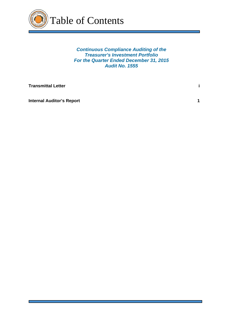

*Continuous Compliance Auditing of the Treasurer's Investment Portfolio For the Quarter Ended December 31, 2015 Audit No. 1555* 

**Transmittal Letter** is a set of the set of the set of the set of the set of the set of the set of the set of the set of the set of the set of the set of the set of the set of the set of the set of the set of the set of th

**Internal Auditor's Report 1 1 <b>1**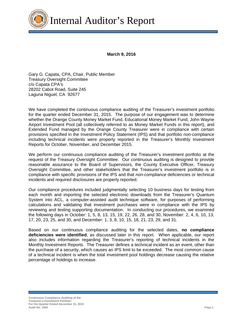

**March 9, 2016** 

Gary G. Capata, CPA, Chair, Public Member Treasury Oversight Committee c/o Capata CPA's 28202 Cabot Road, Suite 245 Laguna Niguel, CA 92677

We have completed the continuous compliance auditing of the Treasurer's investment portfolio for the quarter ended December 31, 2015. The purpose of our engagement was to determine whether the Orange County Money Market Fund, Educational Money Market Fund, John Wayne Airport Investment Pool (all collectively referred to as Money Market Funds in this report), and Extended Fund managed by the Orange County Treasurer were in compliance with certain provisions specified in the Investment Policy Statement (IPS) and that portfolio non-compliance including technical incidents were properly reported in the Treasurer's Monthly Investment Reports for October, November, and December 2015.

We perform our continuous compliance auditing of the Treasurer's investment portfolio at the request of the Treasury Oversight Committee. Our continuous auditing is designed to provide reasonable assurance to the Board of Supervisors, the County Executive Officer, Treasury Oversight Committee, and other stakeholders that the Treasurer's investment portfolio is in compliance with specific provisions of the IPS and that non-compliance deficiencies or technical incidents and required disclosures are properly reported.

Our compliance procedures included judgmentally selecting 10 business days for testing from each month and importing the selected electronic downloads from the Treasurer's Quantum System into ACL, a computer-assisted audit technique software, for purposes of performing calculations and validating that investment purchases were in compliance with the IPS by reviewing and testing supporting documentation. In conducting our procedures, we examined the following days in October: 1, 5, 8, 13, 15, 19, 22, 26, 28, and 30, November: 2, 4, 6, 10, 13, 17, 20, 23, 25, and 30, and December: 1, 3, 8, 10, 15, 18, 21, 23, 29, and 31.

Based on our continuous compliance auditing for the selected dates, **no compliance deficiencies were identified**, as discussed later in this report. When applicable, our report also includes information regarding the Treasurer's reporting of technical incidents in the Monthly Investment Reports. The Treasurer defines a technical incident as an event, other than the purchase of a security, which causes an IPS limit to be exceeded. The most common cause of a technical incident is when the total investment pool holdings decrease causing the relative percentage of holdings to increase.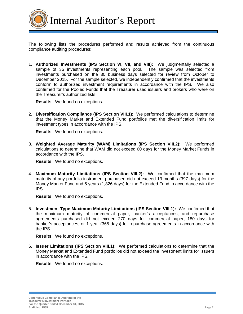

The following lists the procedures performed and results achieved from the continuous compliance auditing procedures:

1. **Authorized Investments (IPS Section VI, VII, and VIII):** We judgmentally selected a sample of 35 investments representing each pool. The sample was selected from investments purchased on the 30 business days selected for review from October to December 2015. For the sample selected, we independently confirmed that the investments conform to authorized investment requirements in accordance with the IPS. We also confirmed for the Pooled Funds that the Treasurer used issuers and brokers who were on the Treasurer's authorized lists.

**Results**: We found no exceptions.

2. **Diversification Compliance (IPS Section VIII.1):** We performed calculations to determine that the Money Market and Extended Fund portfolios met the diversification limits for investment types in accordance with the IPS.

**Results**: We found no exceptions.

3. **Weighted Average Maturity (WAM) Limitations (IPS Section VIII.2):** We performed calculations to determine that WAM did not exceed 60 days for the Money Market Funds in accordance with the IPS.

**Results**: We found no exceptions.

4. **Maximum Maturity Limitations (IPS Section VIII.2):** We confirmed that the maximum maturity of any portfolio instrument purchased did not exceed 13 months (397 days) for the Money Market Fund and 5 years (1,826 days) for the Extended Fund in accordance with the IPS.

**Results**: We found no exceptions.

5. **Investment Type Maximum Maturity Limitations (IPS Section VIII.1):** We confirmed that the maximum maturity of commercial paper, banker's acceptances, and repurchase agreements purchased did not exceed 270 days for commercial paper, 180 days for banker's acceptances, or 1 year (365 days) for repurchase agreements in accordance with the IPS.

**Results**: We found no exceptions.

6. **Issuer Limitations (IPS Section VIII.1):** We performed calculations to determine that the Money Market and Extended Fund portfolios did not exceed the investment limits for issuers in accordance with the IPS.

**Results**: We found no exceptions.